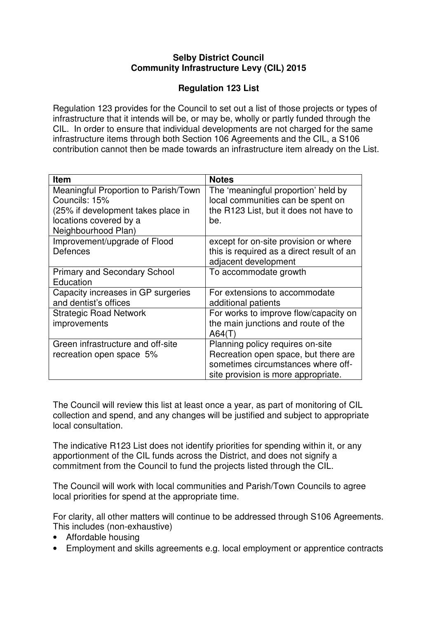## **Selby District Council Community Infrastructure Levy (CIL) 2015**

## **Regulation 123 List**

Regulation 123 provides for the Council to set out a list of those projects or types of infrastructure that it intends will be, or may be, wholly or partly funded through the CIL. In order to ensure that individual developments are not charged for the same infrastructure items through both Section 106 Agreements and the CIL, a S106 contribution cannot then be made towards an infrastructure item already on the List.

| Item                                 | <b>Notes</b>                              |
|--------------------------------------|-------------------------------------------|
| Meaningful Proportion to Parish/Town | The 'meaningful proportion' held by       |
| Councils: 15%                        | local communities can be spent on         |
| (25% if development takes place in   | the R123 List, but it does not have to    |
| locations covered by a               | be.                                       |
| Neighbourhood Plan)                  |                                           |
| Improvement/upgrade of Flood         | except for on-site provision or where     |
| <b>Defences</b>                      | this is required as a direct result of an |
|                                      | adjacent development                      |
| <b>Primary and Secondary School</b>  | To accommodate growth                     |
| Education                            |                                           |
| Capacity increases in GP surgeries   | For extensions to accommodate             |
| and dentist's offices                | additional patients                       |
| <b>Strategic Road Network</b>        | For works to improve flow/capacity on     |
| improvements                         | the main junctions and route of the       |
|                                      | A64(T)                                    |
| Green infrastructure and off-site    | Planning policy requires on-site          |
| recreation open space 5%             | Recreation open space, but there are      |
|                                      | sometimes circumstances where off-        |
|                                      | site provision is more appropriate.       |

The Council will review this list at least once a year, as part of monitoring of CIL collection and spend, and any changes will be justified and subject to appropriate local consultation.

The indicative R123 List does not identify priorities for spending within it, or any apportionment of the CIL funds across the District, and does not signify a commitment from the Council to fund the projects listed through the CIL.

The Council will work with local communities and Parish/Town Councils to agree local priorities for spend at the appropriate time.

For clarity, all other matters will continue to be addressed through S106 Agreements. This includes (non-exhaustive)

- Affordable housing
- Employment and skills agreements e.g. local employment or apprentice contracts